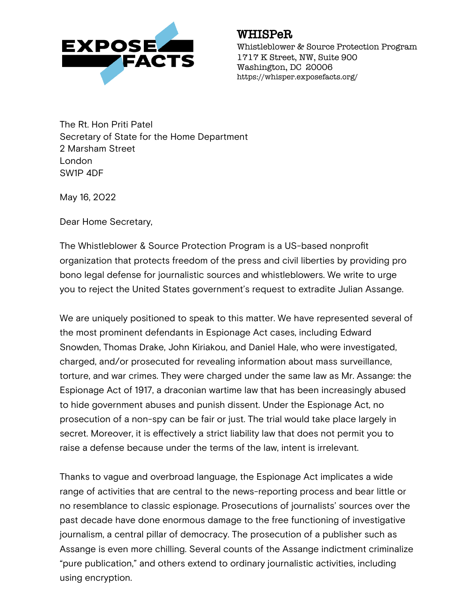

## WHISPeR

Whistleblower & Source Protection Program 1717 K Street, NW, Suite 900 Washington, DC 20006 https://whisper.exposefacts.org/

The Rt. Hon Priti Patel Secretary of State for the Home Department 2 Marsham Street London SW1P 4DF

May 16, 2022

Dear Home Secretary,

The Whistleblower & Source Protection Program is a US-based nonprofit organization that protects freedom of the press and civil liberties by providing pro bono legal defense for journalistic sources and whistleblowers. We write to urge you to reject the United States government's request to extradite Julian Assange.

We are uniquely positioned to speak to this matter. We have represented several of the most prominent defendants in Espionage Act cases, including Edward Snowden, Thomas Drake, John Kiriakou, and Daniel Hale, who were investigated, charged, and/or prosecuted for revealing information about mass surveillance, torture, and war crimes. They were charged under the same law as Mr. Assange: the Espionage Act of 1917, a draconian wartime law that has been increasingly abused to hide government abuses and punish dissent. Under the Espionage Act, no prosecution of a non-spy can be fair or just. The trial would take place largely in secret. Moreover, it is effectively a strict liability law that does not permit you to raise a defense because under the terms of the law, intent is irrelevant.

Thanks to vague and overbroad language, the Espionage Act implicates a wide range of activities that are central to the news-reporting process and bear little or no resemblance to classic espionage. Prosecutions of journalists' sources over the past decade have done enormous damage to the free functioning of investigative journalism, a central pillar of democracy. The prosecution of a publisher such as Assange is even more chilling. Several counts of the Assange indictment criminalize "pure publication," and others extend to ordinary journalistic activities, including using encryption.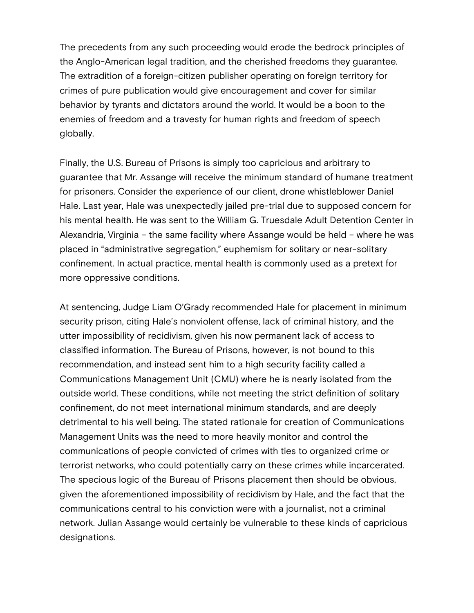The precedents from any such proceeding would erode the bedrock principles of the Anglo-American legal tradition, and the cherished freedoms they guarantee. The extradition of a foreign-citizen publisher operating on foreign territory for crimes of pure publication would give encouragement and cover for similar behavior by tyrants and dictators around the world. It would be a boon to the enemies of freedom and a travesty for human rights and freedom of speech globally.

Finally, the U.S. Bureau of Prisons is simply too capricious and arbitrary to guarantee that Mr. Assange will receive the minimum standard of humane treatment for prisoners. Consider the experience of our client, drone whistleblower Daniel Hale. Last year, Hale was unexpectedly jailed pre-trial due to supposed concern for his mental health. He was sent to the William G. Truesdale Adult Detention Center in Alexandria, Virginia – the same facility where Assange would be held – where he was placed in "administrative segregation," euphemism for solitary or near-solitary confinement. In actual practice, mental health is commonly used as a pretext for more oppressive conditions.

At sentencing, Judge Liam O'Grady recommended Hale for placement in minimum security prison, citing Hale's nonviolent offense, lack of criminal history, and the utter impossibility of recidivism, given his now permanent lack of access to classified information. The Bureau of Prisons, however, is not bound to this recommendation, and instead sent him to a high security facility called a Communications Management Unit (CMU) where he is nearly isolated from the outside world. These conditions, while not meeting the strict definition of solitary confinement, do not meet international minimum standards, and are deeply detrimental to his well being. The stated rationale for creation of Communications Management Units was the need to more heavily monitor and control the communications of people convicted of crimes with ties to organized crime or terrorist networks, who could potentially carry on these crimes while incarcerated. The specious logic of the Bureau of Prisons placement then should be obvious, given the aforementioned impossibility of recidivism by Hale, and the fact that the communications central to his conviction were with a journalist, not a criminal network. Julian Assange would certainly be vulnerable to these kinds of capricious designations.